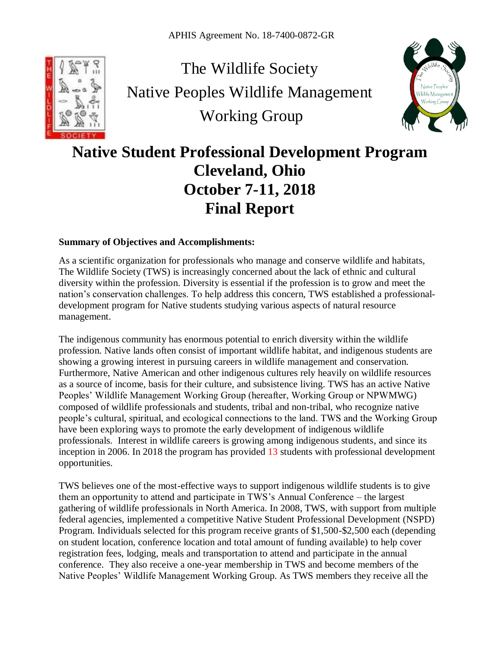

The Wildlife Society Native Peoples Wildlife Management Working Group



# **Native Student Professional Development Program Cleveland, Ohio October 7-11, 2018 Final Report**

### **Summary of Objectives and Accomplishments:**

As a scientific organization for professionals who manage and conserve wildlife and habitats, The Wildlife Society (TWS) is increasingly concerned about the lack of ethnic and cultural diversity within the profession. Diversity is essential if the profession is to grow and meet the nation's conservation challenges. To help address this concern, TWS established a professionaldevelopment program for Native students studying various aspects of natural resource management.

The indigenous community has enormous potential to enrich diversity within the wildlife profession. Native lands often consist of important wildlife habitat, and indigenous students are showing a growing interest in pursuing careers in wildlife management and conservation. Furthermore, Native American and other indigenous cultures rely heavily on wildlife resources as a source of income, basis for their culture, and subsistence living. TWS has an active Native Peoples' Wildlife Management Working Group (hereafter, Working Group or NPWMWG) composed of wildlife professionals and students, tribal and non-tribal, who recognize native people's cultural, spiritual, and ecological connections to the land. TWS and the Working Group have been exploring ways to promote the early development of indigenous wildlife professionals. [Interest in wildlife careers is growing among indigenous students,](http://wildlife.org/wp-content/uploads/2016/11/A-Tribal-Model-of-Wildlife-Stewardship.Hoagland.TWP-10.6.pdf) and since its inception in 2006. In 2018 the program has provided 13 students with professional development opportunities.

TWS believes one of the most-effective ways to support indigenous wildlife students is to give them an opportunity to attend and participate in TWS's Annual Conference – the largest gathering of wildlife professionals in North America. In 2008, TWS, with support from multiple federal agencies, implemented a competitive Native Student Professional Development (NSPD) Program. Individuals selected for this program receive grants of \$1,500-\$2,500 each (depending on student location, conference location and total amount of funding available) to help cover registration fees, lodging, meals and transportation to attend and participate in the annual conference. They also receive a one-year membership in TWS and become members of the Native Peoples' Wildlife Management Working Group. As TWS members they receive all the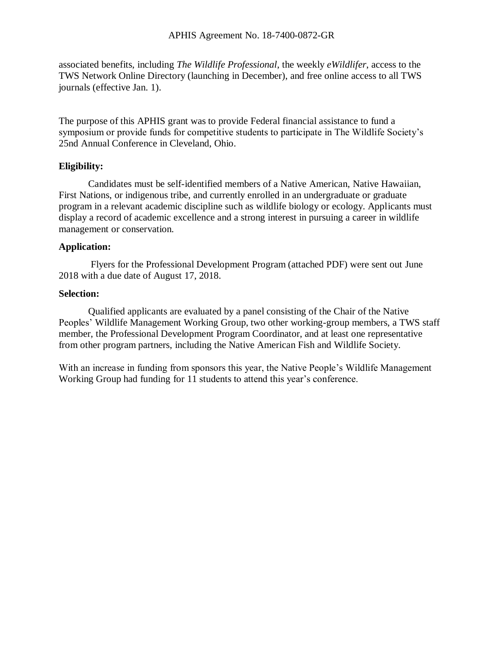associated benefits, including *The Wildlife Professional*, the weekly *eWildlifer*, access to the TWS Network Online Directory (launching in December), and free online access to all TWS journals (effective Jan. 1).

The purpose of this APHIS grant was to provide Federal financial assistance to fund a symposium or provide funds for competitive students to participate in The Wildlife Society's 25nd Annual Conference in Cleveland, Ohio.

### **Eligibility:**

Candidates must be self-identified members of a Native American, Native Hawaiian, First Nations, or indigenous tribe, and currently enrolled in an undergraduate or graduate program in a relevant academic discipline such as wildlife biology or ecology. Applicants must display a record of academic excellence and a strong interest in pursuing a career in wildlife management or conservation.

### **Application:**

Flyers for the Professional Development Program (attached PDF) were sent out June 2018 with a due date of August 17, 2018.

### **Selection:**

Qualified applicants are evaluated by a panel consisting of the Chair of the Native Peoples' Wildlife Management Working Group, two other working-group members, a TWS staff member, the Professional Development Program Coordinator, and at least one representative from other program partners, including the Native American Fish and Wildlife Society.

With an increase in funding from sponsors this year, the Native People's Wildlife Management Working Group had funding for 11 students to attend this year's conference.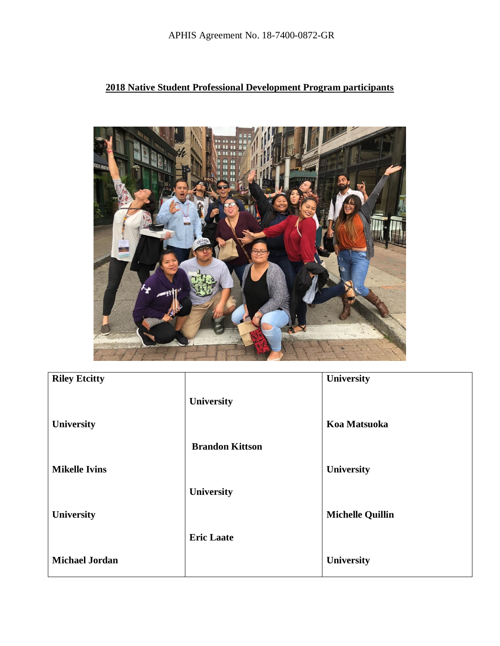APHIS Agreement No. 18-7400-0872-GR

## **2018 Native Student Professional Development Program participants**



| <b>Riley Etcitty</b>  |                        | University              |
|-----------------------|------------------------|-------------------------|
|                       | University             |                         |
| University            |                        | Koa Matsuoka            |
|                       | <b>Brandon Kittson</b> |                         |
| <b>Mikelle Ivins</b>  |                        | University              |
|                       | University             |                         |
| University            |                        | <b>Michelle Quillin</b> |
|                       | <b>Eric Laate</b>      |                         |
| <b>Michael Jordan</b> |                        | University              |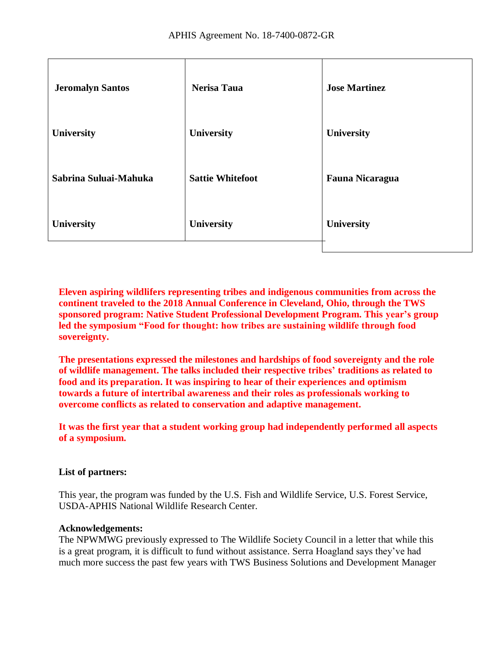| <b>Jeromalyn Santos</b> | <b>Nerisa Taua</b>      | <b>Jose Martinez</b>   |
|-------------------------|-------------------------|------------------------|
| University              | <b>University</b>       | <b>University</b>      |
| Sabrina Suluai-Mahuka   | <b>Sattie Whitefoot</b> | <b>Fauna Nicaragua</b> |
| University              | University              | University             |

**Eleven aspiring wildlifers representing tribes and indigenous communities from across the continent traveled to the 2018 Annual Conference in Cleveland, Ohio, through the TWS sponsored program: Native Student Professional Development Program. This year's group led the symposium "Food for thought: how tribes are sustaining wildlife through food sovereignty.** 

**The presentations expressed the milestones and hardships of food sovereignty and the role of wildlife management. The talks included their respective tribes' traditions as related to food and its preparation. It was inspiring to hear of their experiences and optimism towards a future of intertribal awareness and their roles as professionals working to overcome conflicts as related to conservation and adaptive management.**

**It was the first year that a student working group had independently performed all aspects of a symposium.**

### **List of partners:**

This year, the program was funded by the U.S. Fish and Wildlife Service, U.S. Forest Service, USDA-APHIS National Wildlife Research Center.

#### **Acknowledgements:**

The NPWMWG previously expressed to The Wildlife Society Council in a letter that while this is a great program, it is difficult to fund without assistance. Serra Hoagland says they've had much more success the past few years with TWS Business Solutions and Development Manager